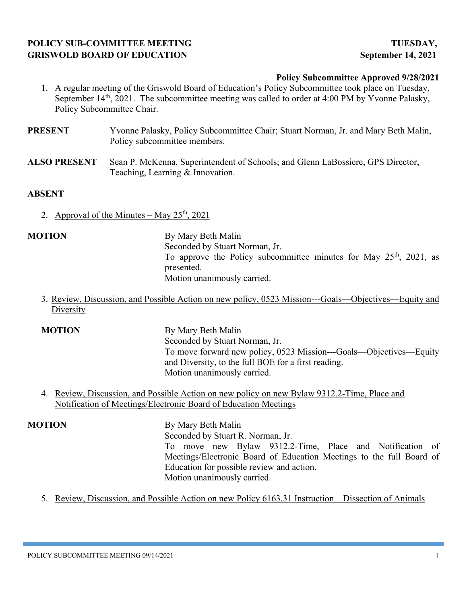# **POLICY SUB-COMMITTEE MEETING TUESDAY, GRISWOLD BOARD OF EDUCATION September 14, 2021**

## **Policy Subcommittee Approved 9/28/2021**

- 1. A regular meeting of the Griswold Board of Education's Policy Subcommittee took place on Tuesday, September 14<sup>th</sup>, 2021. The subcommittee meeting was called to order at 4:00 PM by Yvonne Palasky, Policy Subcommittee Chair.
- **PRESENT** Yvonne Palasky, Policy Subcommittee Chair; Stuart Norman, Jr. and Mary Beth Malin, Policy subcommittee members.
- **ALSO PRESENT** Sean P. McKenna, Superintendent of Schools; and Glenn LaBossiere, GPS Director, Teaching, Learning & Innovation.

## **ABSENT**

- 2. Approval of the Minutes May  $25<sup>th</sup>$ , 2021
- **MOTION** By Mary Beth Malin Seconded by Stuart Norman, Jr. To approve the Policy subcommittee minutes for May  $25<sup>th</sup>$ , 2021, as presented. Motion unanimously carried.
	- 3. Review, Discussion, and Possible Action on new policy, 0523 Mission---Goals—Objectives—Equity and **Diversity**
	- **MOTION** By Mary Beth Malin Seconded by Stuart Norman, Jr. To move forward new policy, 0523 Mission---Goals—Objectives—Equity and Diversity, to the full BOE for a first reading. Motion unanimously carried.
	- 4. Review, Discussion, and Possible Action on new policy on new Bylaw 9312.2-Time, Place and Notification of Meetings/Electronic Board of Education Meetings

**MOTION** By Mary Beth Malin Seconded by Stuart R. Norman, Jr. To move new Bylaw 9312.2-Time, Place and Notification of Meetings/Electronic Board of Education Meetings to the full Board of Education for possible review and action. Motion unanimously carried.

5. Review, Discussion, and Possible Action on new Policy 6163.31 Instruction—Dissection of Animals